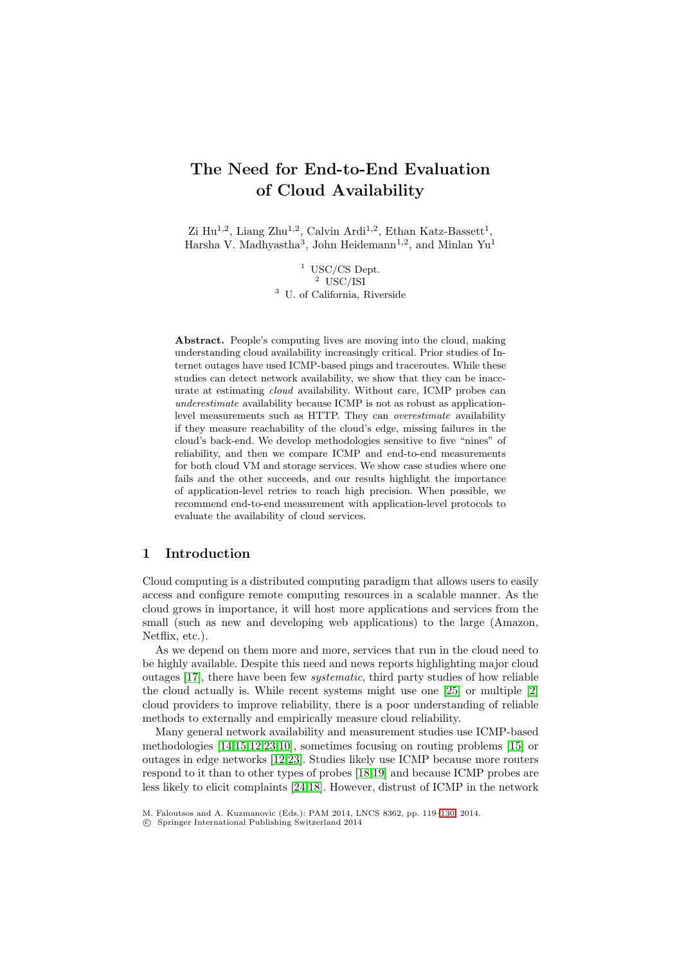# **The Need for End-to-End Evaluation of Cloud Availability**

Zi Hu<sup>1,2</sup>, Liang Zhu<sup>1,2</sup>, Calvin Ardi<sup>1,2</sup>, Ethan Katz-Bassett<sup>1</sup>, Harsha V. Madhyastha<sup>3</sup>, John Heidemann<sup>1,2</sup>, and Minlan Yu<sup>1</sup>

> $1$  USC/CS Dept. <sup>2</sup> USC/ISI <sup>3</sup> U. of California, Riverside

**Abstract.** People's computing lives are moving into the cloud, making understanding cloud availability increasingly critical. Prior studies of Internet outages have used ICMP-based pings and traceroutes. While these studies can detect network availability, we show that they can be inaccurate at estimating *cloud* availability. Without care, ICMP probes can *underestimate* availability because ICMP is not as robust as applicationlevel measurements such as HTTP. They can *overestimate* availability if they measure reachability of the cloud's edge, missing failures in the cloud's back-end. We develop methodologies sensitive to five "nines" of reliability, and then we compare ICMP and end-to-end measurements for both cloud VM and storage services. We show case studies where one fails and the other succeeds, and our results highlight the importance of application-level retries to reach high precision. When possible, we recommend end-to-end measurement with application-level protocols to evaluate the availability of cloud services.

## **1 Introduction**

Cloud computing is a distributed computing paradigm that allows users to easily access and configure remote computing resources in a scalable manner. As the cloud grows in importance, it will host more applications and services from the small (such as new and developing web applications) to the large (Amazon, Netflix, etc.).

As we depend on them more and more, services that run in the cloud need to be highly available. Despite this need and news reports highlighting major cloud outages [\[17\]](#page-11-0), there have been few *systematic*, third party studies of how reliable the cloud actually is. While recent systems might use one [\[25\]](#page-11-1) or multiple [\[2\]](#page-10-0) cloud providers to improve reliability, there is a poor understanding of reliable methods to externally and empirically measure cloud reliability.

Many general network availability and measurement studies use ICMP-based methodologies [\[14](#page-10-1)[,15](#page-11-2)[,12,](#page-10-2)[23](#page-11-3)[,10\]](#page-10-3), sometimes focusing on routing problems [\[15\]](#page-11-2) or outages in edge networks [\[12,](#page-10-2)[23\]](#page-11-3). Studies likely use ICMP because more routers respond to it than to other types of probes [\[18](#page-11-4)[,19\]](#page-11-5) and because ICMP probes are less likely to elicit complaints [\[24](#page-11-6)[,18\]](#page-11-4). However, distrust of ICMP in the network

M. Faloutsos and A. Kuzmanovic (Eds.): PAM 2014, LNCS 8362, pp. 119[–130,](#page-10-4) 2014.

<sup>-</sup>c Springer International Publishing Switzerland 2014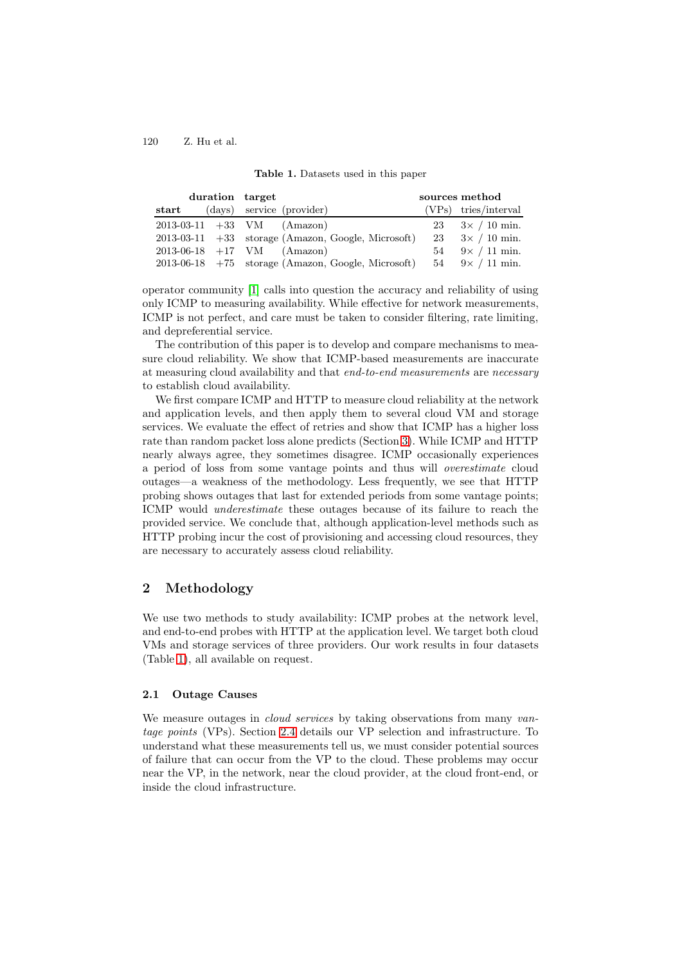| duration target |  |                                                                                                            | sources method |                                       |
|-----------------|--|------------------------------------------------------------------------------------------------------------|----------------|---------------------------------------|
|                 |  | start (days) service (provider)                                                                            |                | $(VPs)$ tries/interval                |
|                 |  | $2013-03-11$ $+33$ VM (Amazon)                                                                             |                | $23 \times 10 \text{ min.}$           |
|                 |  | $2013-03-11$ $+33$ storage (Amazon, Google, Microsoft)                                                     |                | $23 \times 10 \text{ min.}$           |
|                 |  | $2013-06-18$ +17 VM (Amazon)                                                                               |                | $54 \quad 9 \times / 11 \text{ min.}$ |
|                 |  | 2013-06-18 $+75$ storage (Amazon, Google, Microsoft) $54 \frac{9 \times 11 \text{ min}}{11 \text{ min}}$ . |                |                                       |

<span id="page-1-0"></span>**Table 1.** Datasets used in this paper

operator community [\[1\]](#page-10-5) calls into question the accuracy and reliability of using only ICMP to measuring availability. While effective for network measurements, ICMP is not perfect, and care must be taken to consider filtering, rate limiting, and depreferential service.

The contribution of this paper is to develop and compare mechanisms to measure cloud reliability. We show that ICMP-based measurements are inaccurate at measuring cloud availability and that *end-to-end measurements* are *necessary* to establish cloud availability.

We first compare ICMP and HTTP to measure cloud reliability at the network and application levels, and then apply them to several cloud VM and storage services. We evaluate the effect of retries and show that ICMP has a higher loss rate than random packet loss alone predicts (Section [3\)](#page-3-0). While ICMP and HTTP nearly always agree, they sometimes disagree. ICMP occasionally experiences a period of loss from some vantage points and thus will *overestimate* cloud outages—a weakness of the methodology. Less frequently, we see that HTTP probing shows outages that last for extended periods from some vantage points; ICMP would *underestimate* these outages because of its failure to reach the provided service. We conclude that, although application-level methods such as HTTP probing incur the cost of provisioning and accessing cloud resources, they are necessary to accurately assess cloud reliability.

# **2 Methodology**

We use two methods to study availability: ICMP probes at the network level, and end-to-end probes with HTTP at the application level. We target both cloud VMs and storage services of three providers. Our work results in four datasets (Table [1\)](#page-1-0), all available on request.

## <span id="page-1-1"></span>**2.1 Outage Causes**

We measure outages in *cloud services* by taking observations from many *vantage points* (VPs). Section [2.4](#page-3-1) details our VP selection and infrastructure. To understand what these measurements tell us, we must consider potential sources of failure that can occur from the VP to the cloud. These problems may occur near the VP, in the network, near the cloud provider, at the cloud front-end, or inside the cloud infrastructure.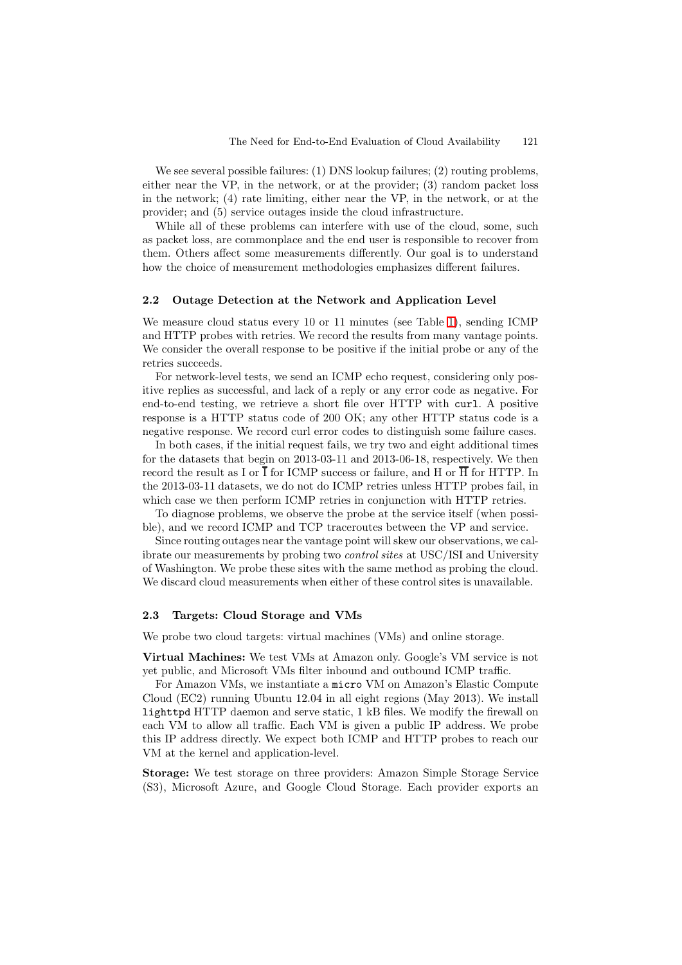We see several possible failures: (1) DNS lookup failures; (2) routing problems, either near the VP, in the network, or at the provider; (3) random packet loss in the network; (4) rate limiting, either near the VP, in the network, or at the provider; and (5) service outages inside the cloud infrastructure.

While all of these problems can interfere with use of the cloud, some, such as packet loss, are commonplace and the end user is responsible to recover from them. Others affect some measurements differently. Our goal is to understand how the choice of measurement methodologies emphasizes different failures.

#### **2.2 Outage Detection at the Network and Application Level**

We measure cloud status every 10 or 11 minutes (see Table [1\)](#page-1-0), sending ICMP and HTTP probes with retries. We record the results from many vantage points. We consider the overall response to be positive if the initial probe or any of the retries succeeds.

For network-level tests, we send an ICMP echo request, considering only positive replies as successful, and lack of a reply or any error code as negative. For end-to-end testing, we retrieve a short file over HTTP with curl. A positive response is a HTTP status code of 200 OK; any other HTTP status code is a negative response. We record curl error codes to distinguish some failure cases.

In both cases, if the initial request fails, we try two and eight additional times for the datasets that begin on 2013-03-11 and 2013-06-18, respectively. We then record the result as I or  $\overline{I}$  for ICMP success or failure, and H or  $\overline{H}$  for HTTP. In the 2013-03-11 datasets, we do not do ICMP retries unless HTTP probes fail, in which case we then perform ICMP retries in conjunction with HTTP retries.

To diagnose problems, we observe the probe at the service itself (when possible), and we record ICMP and TCP traceroutes between the VP and service.

Since routing outages near the vantage point will skew our observations, we calibrate our measurements by probing two *control sites* at USC/ISI and University of Washington. We probe these sites with the same method as probing the cloud. We discard cloud measurements when either of these control sites is unavailable.

#### **2.3 Targets: Cloud Storage and VMs**

We probe two cloud targets: virtual machines (VMs) and online storage.

**Virtual Machines:** We test VMs at Amazon only. Google's VM service is not yet public, and Microsoft VMs filter inbound and outbound ICMP traffic.

For Amazon VMs, we instantiate a micro VM on Amazon's Elastic Compute Cloud (EC2) running Ubuntu 12.04 in all eight regions (May 2013). We install lighttpd HTTP daemon and serve static, 1 kB files. We modify the firewall on each VM to allow all traffic. Each VM is given a public IP address. We probe this IP address directly. We expect both ICMP and HTTP probes to reach our VM at the kernel and application-level.

**Storage:** We test storage on three providers: Amazon Simple Storage Service (S3), Microsoft Azure, and Google Cloud Storage. Each provider exports an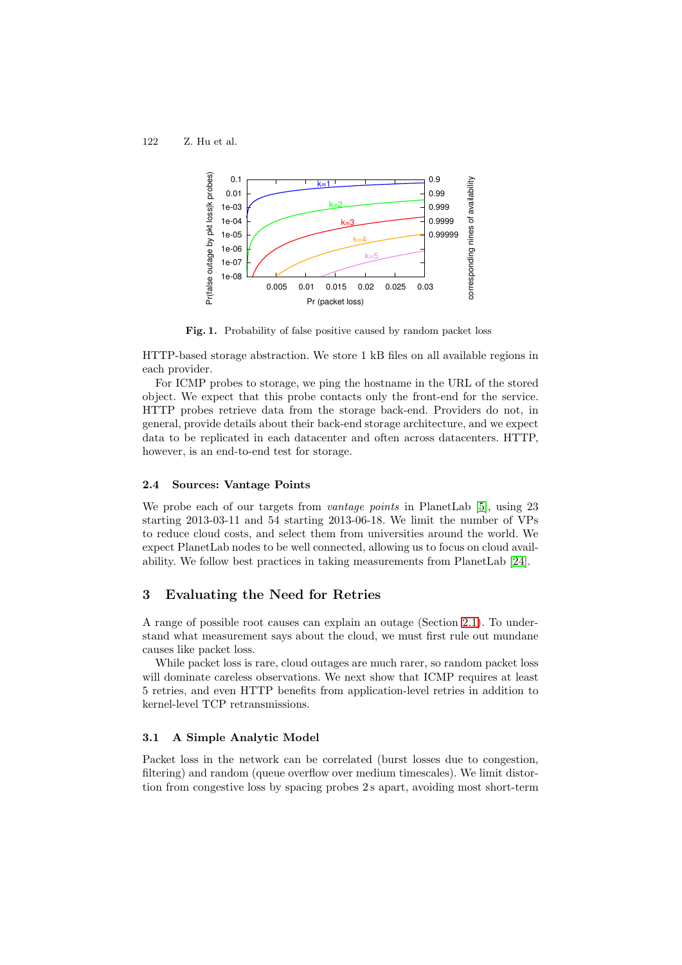

<span id="page-3-2"></span>**Fig. 1.** Probability of false positive caused by random packet loss

HTTP-based storage abstraction. We store 1 kB files on all available regions in each provider.

For ICMP probes to storage, we ping the hostname in the URL of the stored object. We expect that this probe contacts only the front-end for the service. HTTP probes retrieve data from the storage back-end. Providers do not, in general, provide details about their back-end storage architecture, and we expect data to be replicated in each datacenter and often across datacenters. HTTP, however, is an end-to-end test for storage.

## <span id="page-3-1"></span>**2.4 Sources: Vantage Points**

We probe each of our targets from *vantage points* in PlanetLab [\[5\]](#page-10-6), using 23 starting 2013-03-11 and 54 starting 2013-06-18. We limit the number of VPs to reduce cloud costs, and select them from universities around the world. We expect PlanetLab nodes to be well connected, allowing us to focus on cloud availability. We follow best practices in taking measurements from PlanetLab [\[24\]](#page-11-6).

# <span id="page-3-0"></span>**3 Evaluating the Need for Retries**

A range of possible root causes can explain an outage (Section [2.1\)](#page-1-1). To understand what measurement says about the cloud, we must first rule out mundane causes like packet loss.

While packet loss is rare, cloud outages are much rarer, so random packet loss will dominate careless observations. We next show that ICMP requires at least 5 retries, and even HTTP benefits from application-level retries in addition to kernel-level TCP retransmissions.

## **3.1 A Simple Analytic Model**

Packet loss in the network can be correlated (burst losses due to congestion, filtering) and random (queue overflow over medium timescales). We limit distortion from congestive loss by spacing probes 2 s apart, avoiding most short-term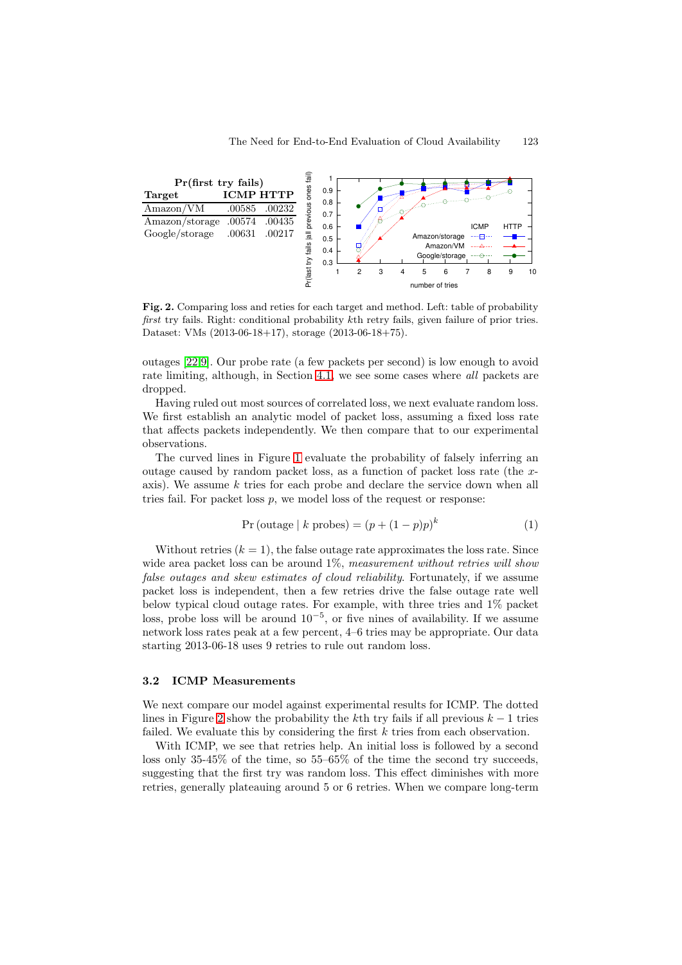

<span id="page-4-0"></span>Fig. 2. Comparing loss and reties for each target and method. Left: table of probability *first* try fails. Right: conditional probability *k*th retry fails, given failure of prior tries. Dataset: VMs (2013-06-18+17), storage (2013-06-18+75).

outages [\[22](#page-11-7)[,9\]](#page-10-7). Our probe rate (a few packets per second) is low enough to avoid rate limiting, although, in Section [4.1,](#page-5-0) we see some cases where *all* packets are dropped.

Having ruled out most sources of correlated loss, we next evaluate random loss. We first establish an analytic model of packet loss, assuming a fixed loss rate that affects packets independently. We then compare that to our experimental observations.

The curved lines in Figure [1](#page-3-2) evaluate the probability of falsely inferring an outage caused by random packet loss, as a function of packet loss rate (the *x*axis). We assume *k* tries for each probe and declare the service down when all tries fail. For packet loss *p*, we model loss of the request or response:

$$
Pr(\text{outage} \mid k \text{ probes}) = (p + (1 - p)p)^k \tag{1}
$$

Without retries  $(k = 1)$ , the false outage rate approximates the loss rate. Since wide area packet loss can be around 1%, *measurement without retries will show false outages and skew estimates of cloud reliability*. Fortunately, if we assume packet loss is independent, then a few retries drive the false outage rate well below typical cloud outage rates. For example, with three tries and 1% packet loss, probe loss will be around  $10^{-5}$ , or five nines of availability. If we assume network loss rates peak at a few percent, 4–6 tries may be appropriate. Our data starting 2013-06-18 uses 9 retries to rule out random loss.

#### **3.2 ICMP Measurements**

We next compare our model against experimental results for ICMP. The dotted lines in Figure [2](#page-4-0) show the probability the *k*th try fails if all previous *k −* 1 tries failed. We evaluate this by considering the first *k* tries from each observation.

With ICMP, we see that retries help. An initial loss is followed by a second loss only 35-45% of the time, so 55–65% of the time the second try succeeds, suggesting that the first try was random loss. This effect diminishes with more retries, generally plateauing around 5 or 6 retries. When we compare long-term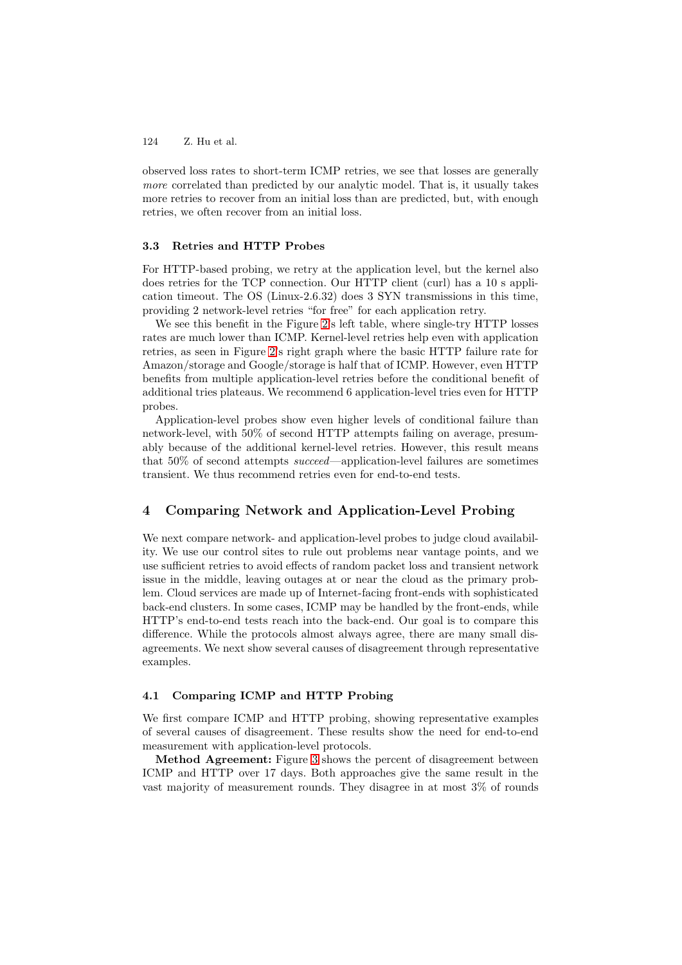observed loss rates to short-term ICMP retries, we see that losses are generally *more* correlated than predicted by our analytic model. That is, it usually takes more retries to recover from an initial loss than are predicted, but, with enough retries, we often recover from an initial loss.

## **3.3 Retries and HTTP Probes**

For HTTP-based probing, we retry at the application level, but the kernel also does retries for the TCP connection. Our HTTP client (curl) has a 10 s application timeout. The OS (Linux-2.6.32) does 3 SYN transmissions in this time, providing 2 network-level retries "for free" for each application retry.

We see this benefit in the Figure [2'](#page-4-0)s left table, where single-try HTTP losses rates are much lower than ICMP. Kernel-level retries help even with application retries, as seen in Figure [2'](#page-4-0)s right graph where the basic HTTP failure rate for Amazon/storage and Google/storage is half that of ICMP. However, even HTTP benefits from multiple application-level retries before the conditional benefit of additional tries plateaus. We recommend 6 application-level tries even for HTTP probes.

Application-level probes show even higher levels of conditional failure than network-level, with 50% of second HTTP attempts failing on average, presumably because of the additional kernel-level retries. However, this result means that 50% of second attempts *succeed*—application-level failures are sometimes transient. We thus recommend retries even for end-to-end tests.

# **4 Comparing Network and Application-Level Probing**

We next compare network- and application-level probes to judge cloud availability. We use our control sites to rule out problems near vantage points, and we use sufficient retries to avoid effects of random packet loss and transient network issue in the middle, leaving outages at or near the cloud as the primary problem. Cloud services are made up of Internet-facing front-ends with sophisticated back-end clusters. In some cases, ICMP may be handled by the front-ends, while HTTP's end-to-end tests reach into the back-end. Our goal is to compare this difference. While the protocols almost always agree, there are many small disagreements. We next show several causes of disagreement through representative examples.

# <span id="page-5-0"></span>**4.1 Comparing ICMP and HTTP Probing**

We first compare ICMP and HTTP probing, showing representative examples of several causes of disagreement. These results show the need for end-to-end measurement with application-level protocols.

**Method Agreement:** Figure [3](#page-6-0) shows the percent of disagreement between ICMP and HTTP over 17 days. Both approaches give the same result in the vast majority of measurement rounds. They disagree in at most 3% of rounds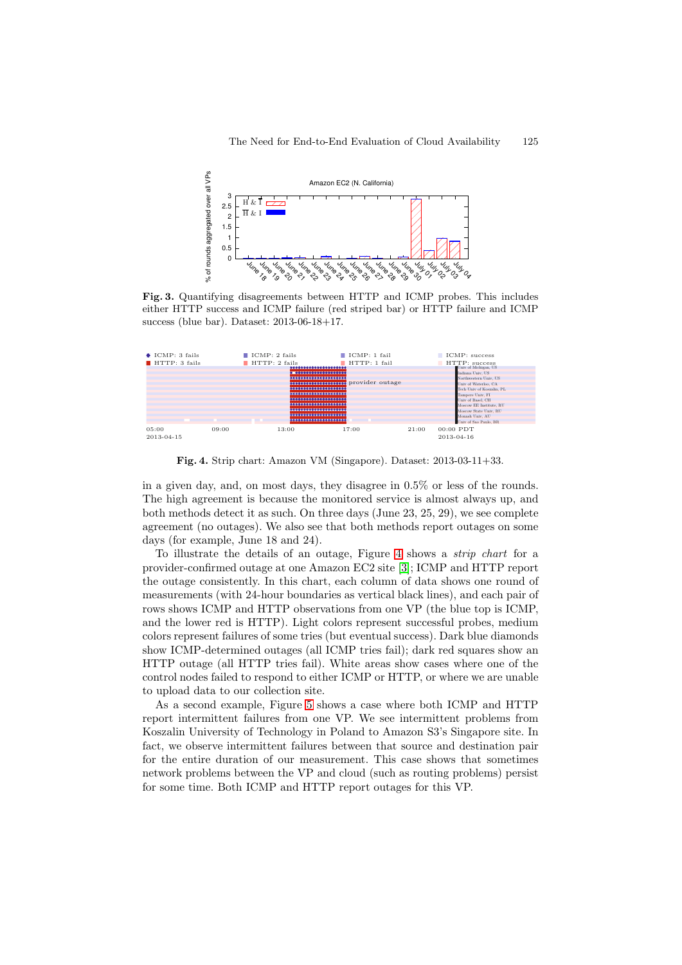

<span id="page-6-0"></span>**Fig. 3.** Quantifying disagreements between HTTP and ICMP probes. This includes either HTTP success and ICMP failure (red striped bar) or HTTP failure and ICMP success (blue bar). Dataset: 2013-06-18+17.



<span id="page-6-1"></span>**Fig. 4.** Strip chart: Amazon VM (Singapore). Dataset: 2013-03-11+33.

in a given day, and, on most days, they disagree in 0.5% or less of the rounds. The high agreement is because the monitored service is almost always up, and both methods detect it as such. On three days (June 23, 25, 29), we see complete agreement (no outages). We also see that both methods report outages on some days (for example, June 18 and 24).

To illustrate the details of an outage, Figure [4](#page-6-1) shows a *strip chart* for a provider-confirmed outage at one Amazon EC2 site [\[3\]](#page-10-8); ICMP and HTTP report the outage consistently. In this chart, each column of data shows one round of measurements (with 24-hour boundaries as vertical black lines), and each pair of rows shows ICMP and HTTP observations from one VP (the blue top is ICMP, and the lower red is HTTP). Light colors represent successful probes, medium colors represent failures of some tries (but eventual success). Dark blue diamonds show ICMP-determined outages (all ICMP tries fail); dark red squares show an HTTP outage (all HTTP tries fail). White areas show cases where one of the control nodes failed to respond to either ICMP or HTTP, or where we are unable to upload data to our collection site.

As a second example, Figure [5](#page-7-0) shows a case where both ICMP and HTTP report intermittent failures from one VP. We see intermittent problems from Koszalin University of Technology in Poland to Amazon S3's Singapore site. In fact, we observe intermittent failures between that source and destination pair for the entire duration of our measurement. This case shows that sometimes network problems between the VP and cloud (such as routing problems) persist for some time. Both ICMP and HTTP report outages for this VP.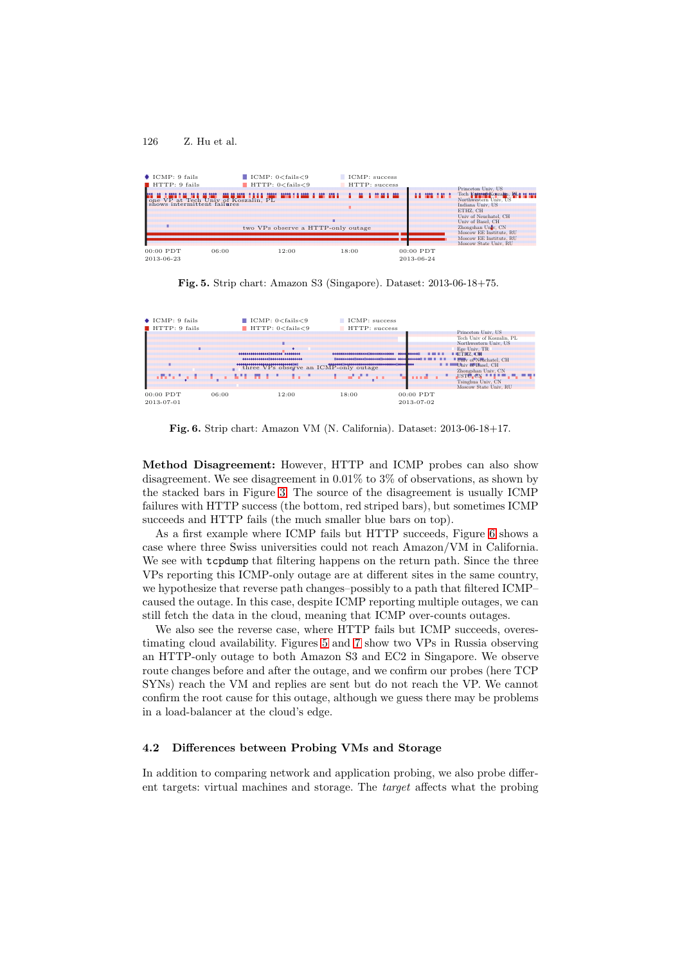| $\bullet$ ICMP: 9 fails<br>$\blacksquare$ HTTP: 9 fails | one VP at Tech Univ of Koszalin, PL<br>shows intermittent failures | $\blacksquare$ ICMP: 0 <fails<9<br><math>\blacksquare</math> HTTP: 0<fails<9<br>two VPs observe a HTTP-only outage</fails<9<br></fails<9<br> | <b>ICMP</b> : success<br>HTTP: success<br>좋은 음식을 쓰는 음식을 보는 | 11 M 18 1                 | Princeton Univ. US<br>Tech Dittitute Koszalin, EL: 11 111<br>Northwestern Univ. US<br>Indiana Univ. US<br>ETHZ, CH<br>Univ of Neuchatel, CH<br>Univ of Basel, CH<br>Zhongshan Univ, CN<br>Moscow EE Institute, RU<br>Moscow EE Institute, RU<br>Moscow State Univ. RU |
|---------------------------------------------------------|--------------------------------------------------------------------|----------------------------------------------------------------------------------------------------------------------------------------------|------------------------------------------------------------|---------------------------|-----------------------------------------------------------------------------------------------------------------------------------------------------------------------------------------------------------------------------------------------------------------------|
| $00:00$ PDT<br>2013-06-23                               | 06:00                                                              | 12:00                                                                                                                                        | 18:00                                                      | $00:00$ PDT<br>2013-06-24 |                                                                                                                                                                                                                                                                       |

<span id="page-7-0"></span>**Fig. 5.** Strip chart: Amazon S3 (Singapore). Dataset: 2013-06-18+75.



<span id="page-7-1"></span>**Fig. 6.** Strip chart: Amazon VM (N. California). Dataset: 2013-06-18+17.

**Method Disagreement:** However, HTTP and ICMP probes can also show disagreement. We see disagreement in 0.01% to 3% of observations, as shown by the stacked bars in Figure [3.](#page-6-0) The source of the disagreement is usually ICMP failures with HTTP success (the bottom, red striped bars), but sometimes ICMP succeeds and HTTP fails (the much smaller blue bars on top).

As a first example where ICMP fails but HTTP succeeds, Figure [6](#page-7-1) shows a case where three Swiss universities could not reach Amazon/VM in California. We see with  $t$  to  $t$  that filtering happens on the return path. Since the three VPs reporting this ICMP-only outage are at different sites in the same country, we hypothesize that reverse path changes–possibly to a path that filtered ICMP– caused the outage. In this case, despite ICMP reporting multiple outages, we can still fetch the data in the cloud, meaning that ICMP over-counts outages.

We also see the reverse case, where HTTP fails but ICMP succeeds, overestimating cloud availability. Figures [5](#page-7-0) and [7](#page-8-0) show two VPs in Russia observing an HTTP-only outage to both Amazon S3 and EC2 in Singapore. We observe route changes before and after the outage, and we confirm our probes (here TCP SYNs) reach the VM and replies are sent but do not reach the VP. We cannot confirm the root cause for this outage, although we guess there may be problems in a load-balancer at the cloud's edge.

## **4.2 Differences between Probing VMs and Storage**

In addition to comparing network and application probing, we also probe different targets: virtual machines and storage. The *target* affects what the probing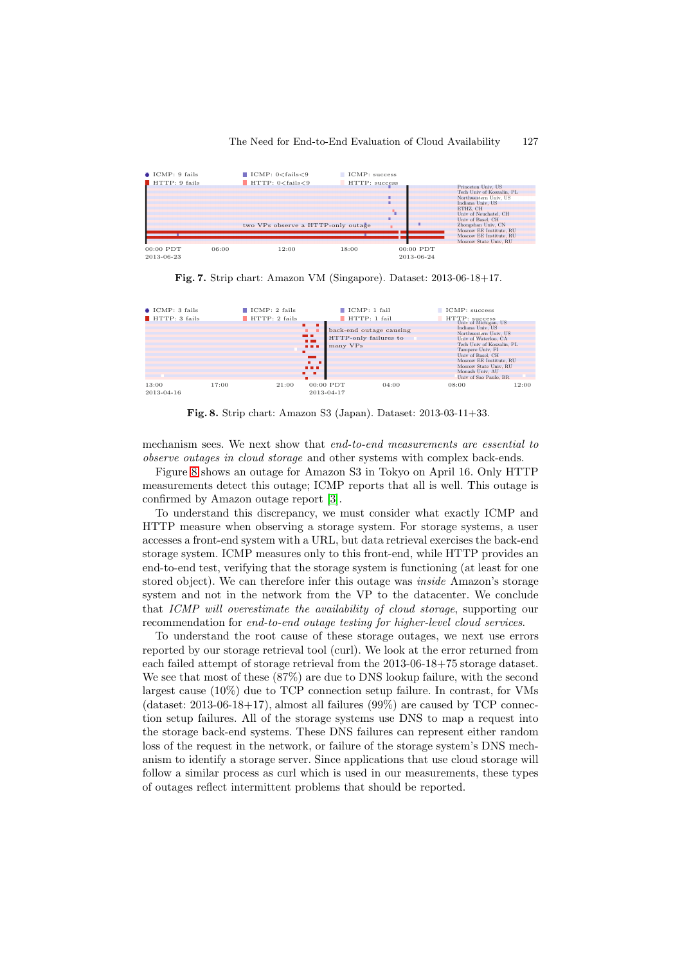

<span id="page-8-0"></span>



<span id="page-8-1"></span>**Fig. 8.** Strip chart: Amazon S3 (Japan). Dataset: 2013-03-11+33.

mechanism sees. We next show that *end-to-end measurements are essential to observe outages in cloud storage* and other systems with complex back-ends.

Figure [8](#page-8-1) shows an outage for Amazon S3 in Tokyo on April 16. Only HTTP measurements detect this outage; ICMP reports that all is well. This outage is confirmed by Amazon outage report [\[3\]](#page-10-8).

To understand this discrepancy, we must consider what exactly ICMP and HTTP measure when observing a storage system. For storage systems, a user accesses a front-end system with a URL, but data retrieval exercises the back-end storage system. ICMP measures only to this front-end, while HTTP provides an end-to-end test, verifying that the storage system is functioning (at least for one stored object). We can therefore infer this outage was *inside* Amazon's storage system and not in the network from the VP to the datacenter. We conclude that *ICMP will overestimate the availability of cloud storage*, supporting our recommendation for *end-to-end outage testing for higher-level cloud services*.

To understand the root cause of these storage outages, we next use errors reported by our storage retrieval tool (curl). We look at the error returned from each failed attempt of storage retrieval from the 2013-06-18+75 storage dataset. We see that most of these (87%) are due to DNS lookup failure, with the second largest cause (10%) due to TCP connection setup failure. In contrast, for VMs (dataset:  $2013-06-18+17$ ), almost all failures (99%) are caused by TCP connection setup failures. All of the storage systems use DNS to map a request into the storage back-end systems. These DNS failures can represent either random loss of the request in the network, or failure of the storage system's DNS mechanism to identify a storage server. Since applications that use cloud storage will follow a similar process as curl which is used in our measurements, these types of outages reflect intermittent problems that should be reported.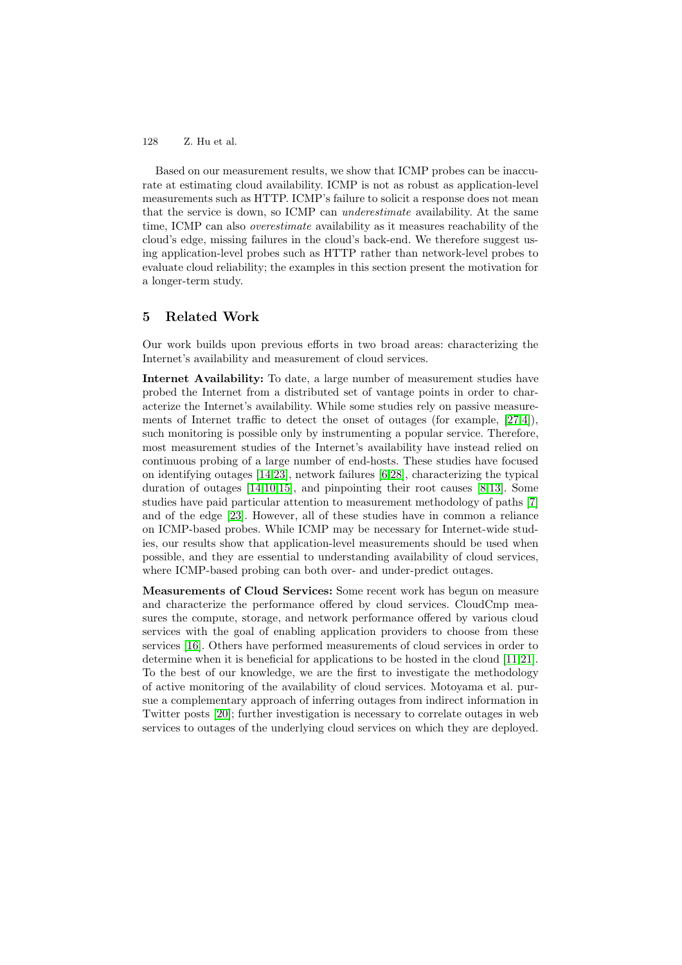Based on our measurement results, we show that ICMP probes can be inaccurate at estimating cloud availability. ICMP is not as robust as application-level measurements such as HTTP. ICMP's failure to solicit a response does not mean that the service is down, so ICMP can *underestimate* availability. At the same time, ICMP can also *overestimate* availability as it measures reachability of the cloud's edge, missing failures in the cloud's back-end. We therefore suggest using application-level probes such as HTTP rather than network-level probes to evaluate cloud reliability; the examples in this section present the motivation for a longer-term study.

## **5 Related Work**

Our work builds upon previous efforts in two broad areas: characterizing the Internet's availability and measurement of cloud services.

**Internet Availability:** To date, a large number of measurement studies have probed the Internet from a distributed set of vantage points in order to characterize the Internet's availability. While some studies rely on passive measurements of Internet traffic to detect the onset of outages (for example, [\[27,](#page-11-8)[4\]](#page-10-9)), such monitoring is possible only by instrumenting a popular service. Therefore, most measurement studies of the Internet's availability have instead relied on continuous probing of a large number of end-hosts. These studies have focused on identifying outages [\[14](#page-10-1)[,23\]](#page-11-3), network failures [\[6](#page-10-10)[,28\]](#page-11-9), characterizing the typical duration of outages [\[14,](#page-10-1)[10,](#page-10-3)[15\]](#page-11-2), and pinpointing their root causes [\[8](#page-10-11)[,13\]](#page-10-12). Some studies have paid particular attention to measurement methodology of paths [\[7\]](#page-10-13) and of the edge [\[23\]](#page-11-3). However, all of these studies have in common a reliance on ICMP-based probes. While ICMP may be necessary for Internet-wide studies, our results show that application-level measurements should be used when possible, and they are essential to understanding availability of cloud services, where ICMP-based probing can both over- and under-predict outages.

**Measurements of Cloud Services:** Some recent work has begun on measure and characterize the performance offered by cloud services. CloudCmp measures the compute, storage, and network performance offered by various cloud services with the goal of enabling application providers to choose from these services [\[16\]](#page-11-10). Others have performed measurements of cloud services in order to determine when it is beneficial for applications to be hosted in the cloud [\[11,](#page-10-14)[21\]](#page-11-11). To the best of our knowledge, we are the first to investigate the methodology of active monitoring of the availability of cloud services. Motoyama et al. pursue a complementary approach of inferring outages from indirect information in Twitter posts [\[20\]](#page-11-12); further investigation is necessary to correlate outages in web services to outages of the underlying cloud services on which they are deployed.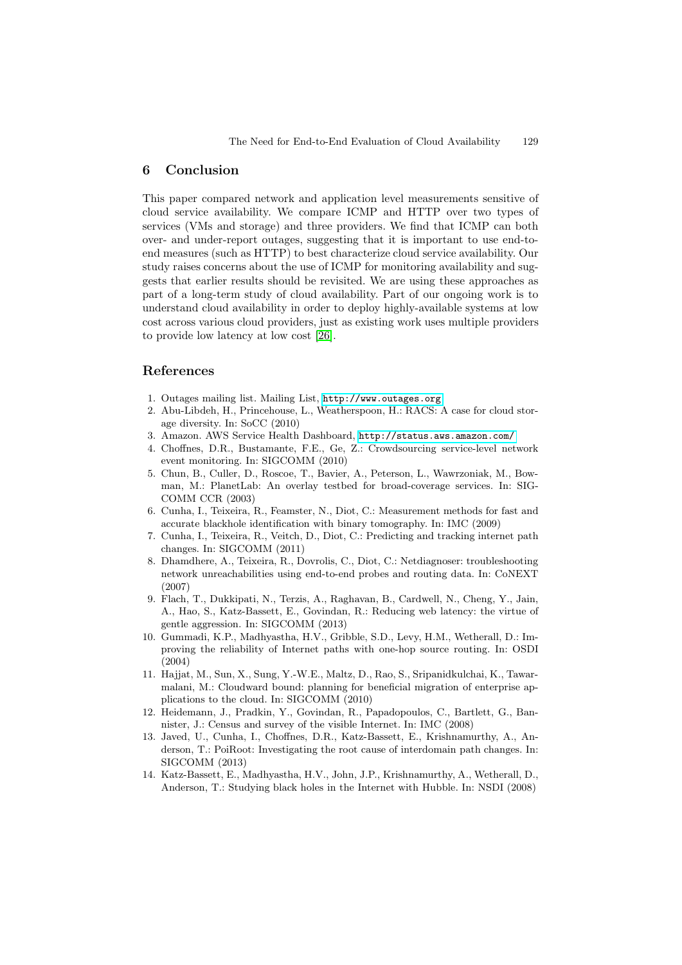# **6 Conclusion**

This paper compared network and application level measurements sensitive of cloud service availability. We compare ICMP and HTTP over two types of services (VMs and storage) and three providers. We find that ICMP can both over- and under-report outages, suggesting that it is important to use end-toend measures (such as HTTP) to best characterize cloud service availability. Our study raises concerns about the use of ICMP for monitoring availability and suggests that earlier results should be revisited. We are using these approaches as part of a long-term study of cloud availability. Part of our ongoing work is to understand cloud availability in order to deploy highly-available systems at low cost across various cloud providers, just as existing work uses multiple providers to provide low latency at low cost [\[26\]](#page-11-13).

# <span id="page-10-4"></span>**References**

- <span id="page-10-5"></span><span id="page-10-0"></span>1. Outages mailing list. Mailing List, <http://www.outages.org>
- 2. Abu-Libdeh, H., Princehouse, L., Weatherspoon, H.: RACS: A case for cloud storage diversity. In: SoCC (2010)
- <span id="page-10-9"></span><span id="page-10-8"></span>3. Amazon. AWS Service Health Dashboard, <http://status.aws.amazon.com/>
- 4. Choffnes, D.R., Bustamante, F.E., Ge, Z.: Crowdsourcing service-level network event monitoring. In: SIGCOMM (2010)
- <span id="page-10-6"></span>5. Chun, B., Culler, D., Roscoe, T., Bavier, A., Peterson, L., Wawrzoniak, M., Bowman, M.: PlanetLab: An overlay testbed for broad-coverage services. In: SIG-COMM CCR (2003)
- <span id="page-10-10"></span>6. Cunha, I., Teixeira, R., Feamster, N., Diot, C.: Measurement methods for fast and accurate blackhole identification with binary tomography. In: IMC (2009)
- <span id="page-10-13"></span>7. Cunha, I., Teixeira, R., Veitch, D., Diot, C.: Predicting and tracking internet path changes. In: SIGCOMM (2011)
- <span id="page-10-11"></span>8. Dhamdhere, A., Teixeira, R., Dovrolis, C., Diot, C.: Netdiagnoser: troubleshooting network unreachabilities using end-to-end probes and routing data. In: CoNEXT (2007)
- <span id="page-10-7"></span>9. Flach, T., Dukkipati, N., Terzis, A., Raghavan, B., Cardwell, N., Cheng, Y., Jain, A., Hao, S., Katz-Bassett, E., Govindan, R.: Reducing web latency: the virtue of gentle aggression. In: SIGCOMM (2013)
- <span id="page-10-3"></span>10. Gummadi, K.P., Madhyastha, H.V., Gribble, S.D., Levy, H.M., Wetherall, D.: Improving the reliability of Internet paths with one-hop source routing. In: OSDI (2004)
- <span id="page-10-14"></span>11. Hajjat, M., Sun, X., Sung, Y.-W.E., Maltz, D., Rao, S., Sripanidkulchai, K., Tawarmalani, M.: Cloudward bound: planning for beneficial migration of enterprise applications to the cloud. In: SIGCOMM (2010)
- <span id="page-10-2"></span>12. Heidemann, J., Pradkin, Y., Govindan, R., Papadopoulos, C., Bartlett, G., Bannister, J.: Census and survey of the visible Internet. In: IMC (2008)
- <span id="page-10-12"></span>13. Javed, U., Cunha, I., Choffnes, D.R., Katz-Bassett, E., Krishnamurthy, A., Anderson, T.: PoiRoot: Investigating the root cause of interdomain path changes. In: SIGCOMM (2013)
- <span id="page-10-1"></span>14. Katz-Bassett, E., Madhyastha, H.V., John, J.P., Krishnamurthy, A., Wetherall, D., Anderson, T.: Studying black holes in the Internet with Hubble. In: NSDI (2008)